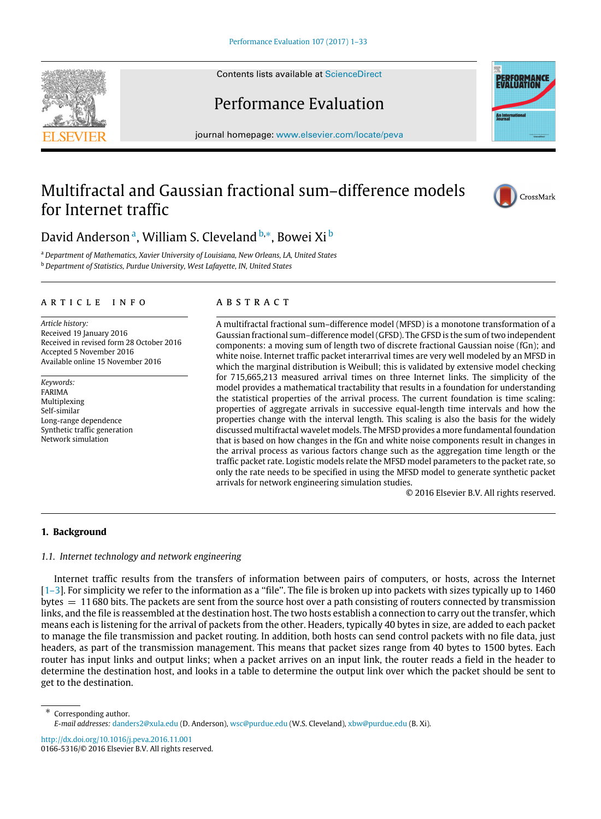Contents lists available at [ScienceDirect](http://www.elsevier.com/locate/peva)

## Performance Evaluation

journal homepage: [www.elsevier.com/locate/peva](http://www.elsevier.com/locate/peva)

## Multifractal and Gaussian fractional sum–difference models for Internet traffic

# D[a](#page-0-0)vid Andersonª, William S. Cleveland <sup>[b,](#page-0-1)[∗](#page-0-2)</sup>, Bowei Xi <sup>[b](#page-0-1)</sup>

<span id="page-0-1"></span><span id="page-0-0"></span><sup>a</sup> *Department of Mathematics, Xavier University of Louisiana, New Orleans, LA, United States* <sup>b</sup> *Department of Statistics, Purdue University, West Lafayette, IN, United States*

## a r t i c l e i n f o

*Article history:* Received 19 January 2016 Received in revised form 28 October 2016 Accepted 5 November 2016 Available online 15 November 2016

*Keywords:* FARIMA Multiplexing Self-similar Long-range dependence Synthetic traffic generation Network simulation

### a b s t r a c t

A multifractal fractional sum–difference model (MFSD) is a monotone transformation of a Gaussian fractional sum–difference model (GFSD). The GFSD is the sum of two independent components: a moving sum of length two of discrete fractional Gaussian noise (fGn); and white noise. Internet traffic packet interarrival times are very well modeled by an MFSD in which the marginal distribution is Weibull; this is validated by extensive model checking for 715,665,213 measured arrival times on three Internet links. The simplicity of the model provides a mathematical tractability that results in a foundation for understanding the statistical properties of the arrival process. The current foundation is time scaling: properties of aggregate arrivals in successive equal-length time intervals and how the properties change with the interval length. This scaling is also the basis for the widely discussed multifractal wavelet models. The MFSD provides a more fundamental foundation that is based on how changes in the fGn and white noise components result in changes in the arrival process as various factors change such as the aggregation time length or the traffic packet rate. Logistic models relate the MFSD model parameters to the packet rate, so only the rate needs to be specified in using the MFSD model to generate synthetic packet arrivals for network engineering simulation studies.

© 2016 Elsevier B.V. All rights reserved.

#### **1. Background**

#### *1.1. Internet technology and network engineering*

Internet traffic results from the transfers of information between pairs of computers, or hosts, across the Internet  $[1-3]$ . For simplicity we refer to the information as a "file". The file is broken up into packets with sizes typically up to 1460 bytes  $= 11680$  bits. The packets are sent from the source host over a path consisting of routers connected by transmission links, and the file is reassembled at the destination host. The two hosts establish a connection to carry out the transfer, which means each is listening for the arrival of packets from the other. Headers, typically 40 bytes in size, are added to each packet to manage the file transmission and packet routing. In addition, both hosts can send control packets with no file data, just headers, as part of the transmission management. This means that packet sizes range from 40 bytes to 1500 bytes. Each router has input links and output links; when a packet arrives on an input link, the router reads a field in the header to determine the destination host, and looks in a table to determine the output link over which the packet should be sent to get to the destination.

<http://dx.doi.org/10.1016/j.peva.2016.11.001> 0166-5316/© 2016 Elsevier B.V. All rights reserved.





CrossMark



<span id="page-0-2"></span><sup>∗</sup> Corresponding author. *E-mail addresses:* [danders2@xula.edu](mailto:danders2@xula.edu) (D. Anderson), [wsc@purdue.edu](mailto:wsc@purdue.edu) (W.S. Cleveland), [xbw@purdue.edu](mailto:xbw@purdue.edu) (B. Xi).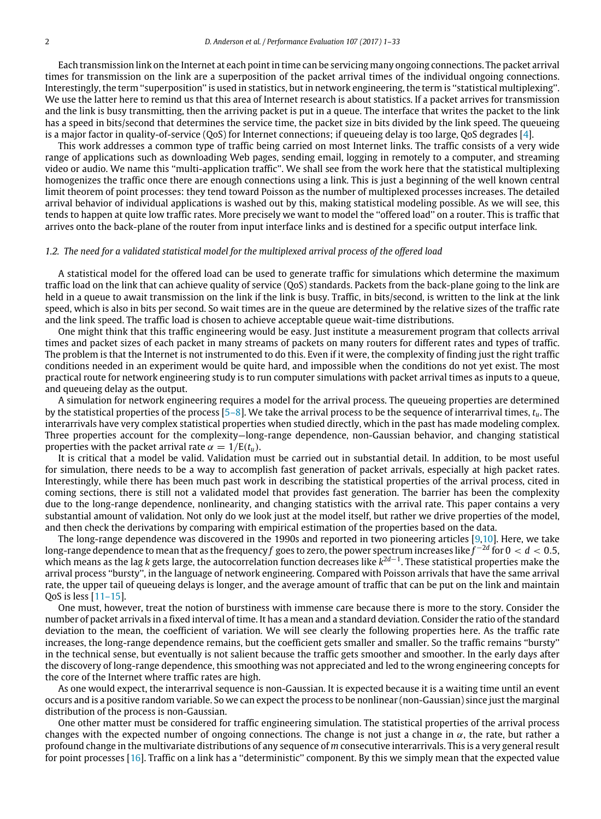Each transmission link on the Internet at each point in time can be servicing many ongoing connections. The packet arrival times for transmission on the link are a superposition of the packet arrival times of the individual ongoing connections. Interestingly, the term ''superposition'' is used in statistics, but in network engineering, the term is ''statistical multiplexing''. We use the latter here to remind us that this area of Internet research is about statistics. If a packet arrives for transmission and the link is busy transmitting, then the arriving packet is put in a queue. The interface that writes the packet to the link has a speed in bits/second that determines the service time, the packet size in bits divided by the link speed. The queueing is a major factor in quality-of-service (QoS) for Internet connections; if queueing delay is too large, QoS degrades [\[4\]](#page--1-1).

This work addresses a common type of traffic being carried on most Internet links. The traffic consists of a very wide range of applications such as downloading Web pages, sending email, logging in remotely to a computer, and streaming video or audio. We name this ''multi-application traffic''. We shall see from the work here that the statistical multiplexing homogenizes the traffic once there are enough connections using a link. This is just a beginning of the well known central limit theorem of point processes: they tend toward Poisson as the number of multiplexed processes increases. The detailed arrival behavior of individual applications is washed out by this, making statistical modeling possible. As we will see, this tends to happen at quite low traffic rates. More precisely we want to model the ''offered load'' on a router. This is traffic that arrives onto the back-plane of the router from input interface links and is destined for a specific output interface link.

#### *1.2. The need for a validated statistical model for the multiplexed arrival process of the offered load*

A statistical model for the offered load can be used to generate traffic for simulations which determine the maximum traffic load on the link that can achieve quality of service (QoS) standards. Packets from the back-plane going to the link are held in a queue to await transmission on the link if the link is busy. Traffic, in bits/second, is written to the link at the link speed, which is also in bits per second. So wait times are in the queue are determined by the relative sizes of the traffic rate and the link speed. The traffic load is chosen to achieve acceptable queue wait-time distributions.

One might think that this traffic engineering would be easy. Just institute a measurement program that collects arrival times and packet sizes of each packet in many streams of packets on many routers for different rates and types of traffic. The problem is that the Internet is not instrumented to do this. Even if it were, the complexity of finding just the right traffic conditions needed in an experiment would be quite hard, and impossible when the conditions do not yet exist. The most practical route for network engineering study is to run computer simulations with packet arrival times as inputs to a queue, and queueing delay as the output.

A simulation for network engineering requires a model for the arrival process. The queueing properties are determined by the statistical properties of the process [\[5–8\]](#page--1-2). We take the arrival process to be the sequence of interarrival times, *tu*. The interarrivals have very complex statistical properties when studied directly, which in the past has made modeling complex. Three properties account for the complexity—long-range dependence, non-Gaussian behavior, and changing statistical properties with the packet arrival rate  $\alpha = 1/E(t_u)$ .

It is critical that a model be valid. Validation must be carried out in substantial detail. In addition, to be most useful for simulation, there needs to be a way to accomplish fast generation of packet arrivals, especially at high packet rates. Interestingly, while there has been much past work in describing the statistical properties of the arrival process, cited in coming sections, there is still not a validated model that provides fast generation. The barrier has been the complexity due to the long-range dependence, nonlinearity, and changing statistics with the arrival rate. This paper contains a very substantial amount of validation. Not only do we look just at the model itself, but rather we drive properties of the model, and then check the derivations by comparing with empirical estimation of the properties based on the data.

The long-range dependence was discovered in the 1990s and reported in two pioneering articles [\[9](#page--1-3)[,10\]](#page--1-4). Here, we take long-range dependence to mean that as the frequency *f* goes to zero, the power spectrum increases like *f* −2*d* for 0 < *d* < 0.5, which means as the lag *k* gets large, the autocorrelation function decreases like *k* 2*d*−1 . These statistical properties make the arrival process ''bursty'', in the language of network engineering. Compared with Poisson arrivals that have the same arrival rate, the upper tail of queueing delays is longer, and the average amount of traffic that can be put on the link and maintain QoS is less [\[11–15\]](#page--1-5).

One must, however, treat the notion of burstiness with immense care because there is more to the story. Consider the number of packet arrivals in a fixed interval of time. It has a mean and a standard deviation. Consider the ratio of the standard deviation to the mean, the coefficient of variation. We will see clearly the following properties here. As the traffic rate increases, the long-range dependence remains, but the coefficient gets smaller and smaller. So the traffic remains ''bursty'' in the technical sense, but eventually is not salient because the traffic gets smoother and smoother. In the early days after the discovery of long-range dependence, this smoothing was not appreciated and led to the wrong engineering concepts for the core of the Internet where traffic rates are high.

As one would expect, the interarrival sequence is non-Gaussian. It is expected because it is a waiting time until an event occurs and is a positive random variable. So we can expect the process to be nonlinear (non-Gaussian) since just the marginal distribution of the process is non-Gaussian.

One other matter must be considered for traffic engineering simulation. The statistical properties of the arrival process changes with the expected number of ongoing connections. The change is not just a change in  $\alpha$ , the rate, but rather a profound change in the multivariate distributions of any sequence of *m* consecutive interarrivals. This is a very general result for point processes [\[16\]](#page--1-6). Traffic on a link has a ''deterministic'' component. By this we simply mean that the expected value